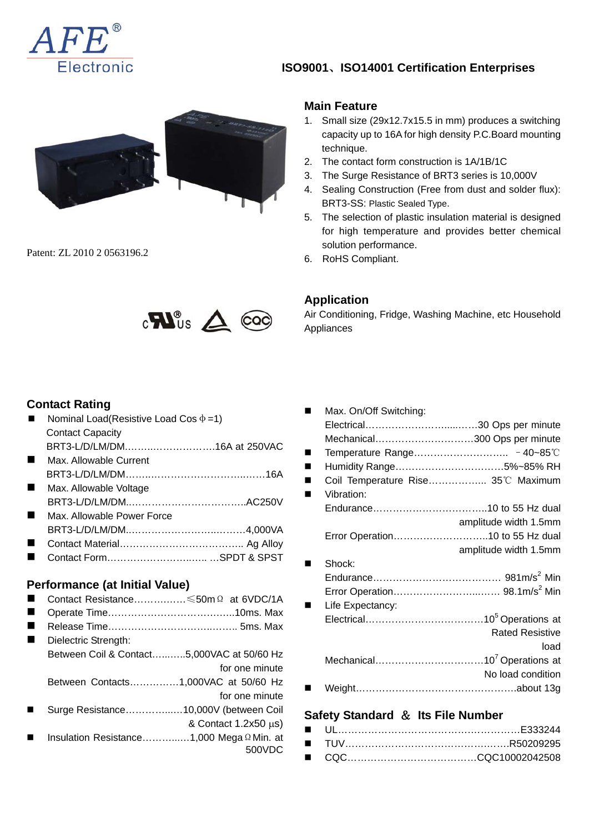

## **ISO9001**、**ISO14001 Certification Enterprises**



Patent: ZL 2010 2 0563196.2



#### **Main Feature**

- 1. Small size (29x12.7x15.5 in mm) produces a switching capacity up to 16A for high density P.C.Board mounting technique.
- 2. The contact form construction is 1A/1B/1C
- 3. The Surge Resistance of BRT3 series is 10,000V
- 4. Sealing Construction (Free from dust and solder flux): BRT3-SS: Plastic Sealed Type.
- 5. The selection of plastic insulation material is designed for high temperature and provides better chemical solution performance.
- 6. RoHS Compliant.

## **Application**

Air Conditioning, Fridge, Washing Machine, etc Household Appliances

#### **Contact Rating**

| Nominal Load(Resistive Load Cos $\Phi$ =1)         |
|----------------------------------------------------|
| <b>Contact Capacity</b>                            |
| BRT3-L/D/LM/DM16A at 250VAC                        |
| Max. Allowable Current                             |
|                                                    |
| Max. Allowable Voltage                             |
|                                                    |
| Max. Allowable Power Force                         |
|                                                    |
|                                                    |
| Contact FormSPDT & SPST                            |
| Performance (at Initial Value)                     |
| Contact Resistance $\leq 50$ m $\Omega$ at 6VDC/1A |
|                                                    |

- Release Time…………………………..…….. 5ms. Max
- Dielectric Strength: Between Coil & Contact…...…..5,000VAC at 50/60 Hz for one minute Between Contacts……………1,000VAC at 50/60 Hz for one minute
- Surge Resistance…………...…10,000V (between Coil & Contact 1.2x50 μs)
- Insulation Resistance………...…1,000 MegaΩMin. at 500VDC

| Max. On/Off Switching:             |                        |
|------------------------------------|------------------------|
|                                    |                        |
| Mechanical300 Ops per minute       |                        |
|                                    |                        |
| Humidity Range5%~85% RH            |                        |
| Coil Temperature Rise 35°C Maximum |                        |
| Vibration:                         |                        |
|                                    |                        |
|                                    | amplitude width 1.5mm  |
| Error Operation10 to 55 Hz dual    |                        |
|                                    | amplitude width 1.5mm  |
| Shock:                             |                        |
|                                    |                        |
|                                    |                        |
| Life Expectancy:                   |                        |
|                                    |                        |
|                                    | <b>Rated Resistive</b> |
|                                    | load                   |
|                                    |                        |
|                                    | No load condition      |
|                                    |                        |

#### **Safety Standard** & **Its File Number**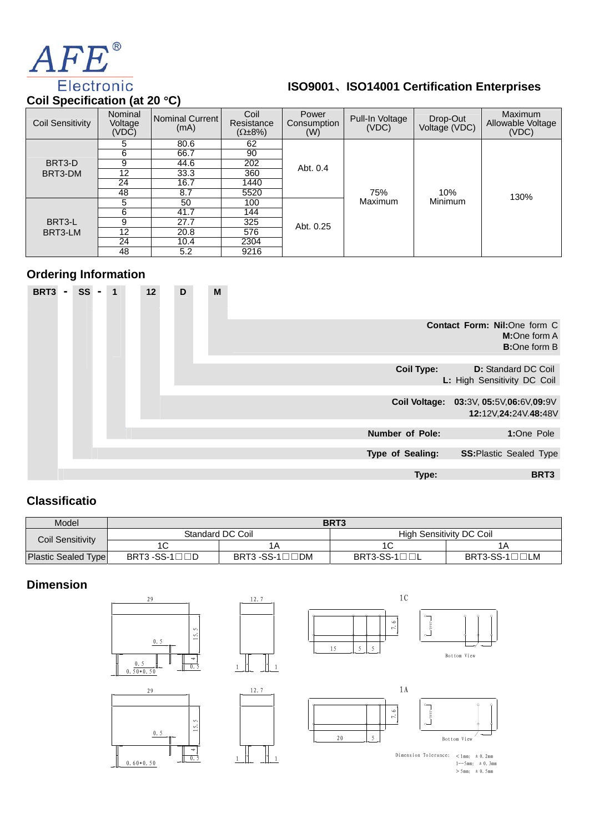

# **ISO9001**、**ISO14001 Certification Enterprises**

**Coil Specification (at 20** °**C)** 

| <b>Coil Sensitivity</b> | Nominal<br>Voltage<br>(VDC) | Nominal Current<br>(mA) | Coil<br>Resistance<br>$(\Omega \pm 8\%)$ | Power<br>Consumption<br>(W) | Pull-In Voltage<br>(VDC) | Drop-Out<br>Voltage (VDC) | <b>Maximum</b><br>Allowable Voltage<br>(VDC) |
|-------------------------|-----------------------------|-------------------------|------------------------------------------|-----------------------------|--------------------------|---------------------------|----------------------------------------------|
|                         | 5                           | 80.6                    | 62                                       |                             |                          |                           |                                              |
|                         | 6                           | 66.7                    | 90                                       |                             |                          |                           |                                              |
| BRT3-D                  | 9                           | 44.6                    | 202                                      | Abt. 0.4                    |                          |                           |                                              |
| BRT3-DM                 | $12 \overline{ }$           | 33.3                    | 360                                      |                             |                          |                           |                                              |
|                         | 24                          | 16.7                    | 1440                                     |                             | 75%                      | 10%                       | 130%                                         |
|                         | 48                          | 8.7                     | 5520                                     |                             |                          |                           |                                              |
|                         | 5.                          | 50                      | 100                                      |                             | Maximum                  | Minimum                   |                                              |
|                         | 6                           | 41.7                    | 144                                      |                             |                          |                           |                                              |
| BRT3-L                  | 9                           | 27.7                    | 325                                      | Abt. 0.25                   |                          |                           |                                              |
| BRT3-LM                 | $12 \overline{ }$           | 20.8                    | 576                                      |                             |                          |                           |                                              |
|                         | 24                          | 10.4                    | 2304                                     |                             |                          |                           |                                              |
|                         | 48                          | 5.2                     | 9216                                     |                             |                          |                           |                                              |

### **Ordering Information**



## **Classificatio**

| Model                      | BRT3                            |                                  |                          |             |  |
|----------------------------|---------------------------------|----------------------------------|--------------------------|-------------|--|
| <b>Coil Sensitivity</b>    |                                 | Standard DC Coil                 | High Sensitivity DC Coil |             |  |
|                            |                                 | ΙA                               |                          |             |  |
| <b>Plastic Sealed Type</b> | $BRT3 - SS-1 \square \square D$ | $BRT3 - SS-1 \square \square DM$ | $BRT3-SS-1$              | $BRT3-SS-1$ |  |

#### **Dimension**



 $1--5mm:±0.3mm$ <br>> 5mm:  $±0.5mm$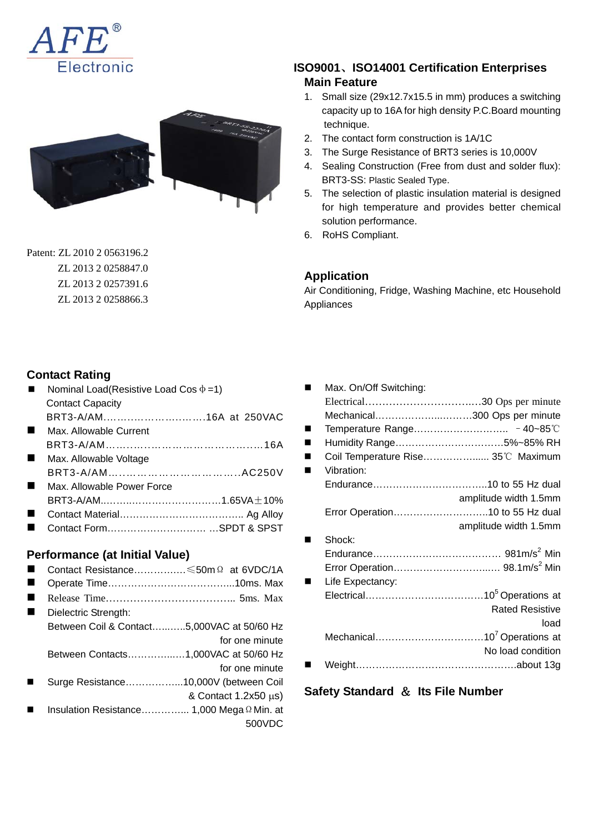



Patent: ZL 2010 2 0563196.2 ZL 2013 2 0258847.0 ZL 2013 2 0257391.6 ZL 2013 2 0258866.3

#### **ISO9001**、**ISO14001 Certification Enterprises Main Feature**

- 1. Small size (29x12.7x15.5 in mm) produces a switching capacity up to 16A for high density P.C.Board mounting technique.
- 2. The contact form construction is 1A/1C
- 3. The Surge Resistance of BRT3 series is 10,000V
- 4. Sealing Construction (Free from dust and solder flux): BRT3-SS: Plastic Sealed Type.
- 5. The selection of plastic insulation material is designed for high temperature and provides better chemical solution performance.
- 6. RoHS Compliant.

#### **Application**

Air Conditioning, Fridge, Washing Machine, etc Household Appliances

### **Contact Rating**

- Nominal Load(Resistive Load Cos  $\phi = 1$ ) Contact Capacity
- BRT3-A/AM.……..…………..…….16A at 250VAC **Max. Allowable Current**
- BRT3-A/AM……..…..………………………..…16A
- **Max. Allowable Voltage** BRT3-A/AM…..…………………………..AC250V
- Max. Allowable Power Force BRT3-A/AM..……..………………………1.65VA±10%
- Contact Material……………………………….. Ag Alloy
- Contact Form………………………… …SPDT & SPST

#### **Performance (at Initial Value)**

- Contact Resistance………….…≤50mΩ at 6VDC/1A
- Operate Time………………………………………10ms. Max
- Release Time……………………………….. 5ms. Max
- Dielectric Strength: Between Coil & Contact…...…..5,000VAC at 50/60 Hz
	- for one minute
		- Between Contacts…………...…1,000VAC at 50/60 Hz
- for one minute
- Surge Resistance……………...10,000V (between Coil & Contact 1.2x50 μs)
- Insulation Resistance…………... 1,000 MegaΩMin. at 500VDC

|   | Max. On/Off Switching: |                                    |
|---|------------------------|------------------------------------|
|   |                        |                                    |
|   |                        | Mechanical300 Ops per minute       |
|   |                        |                                    |
| ٠ |                        | Humidity Range5%~85% RH            |
|   |                        | Coil Temperature Rise 35°C Maximum |
|   | Vibration:             |                                    |
|   |                        |                                    |
|   |                        | amplitude width 1.5mm              |
|   |                        |                                    |
|   |                        | amplitude width 1.5mm              |
|   | Shock:                 |                                    |
|   |                        |                                    |
|   |                        |                                    |
|   | Life Expectancy:       |                                    |
|   |                        |                                    |
|   |                        | <b>Rated Resistive</b>             |
|   |                        | load                               |
|   |                        |                                    |
|   |                        | No load condition                  |
|   |                        |                                    |
|   |                        |                                    |

**Safety Standard** & **Its File Number**